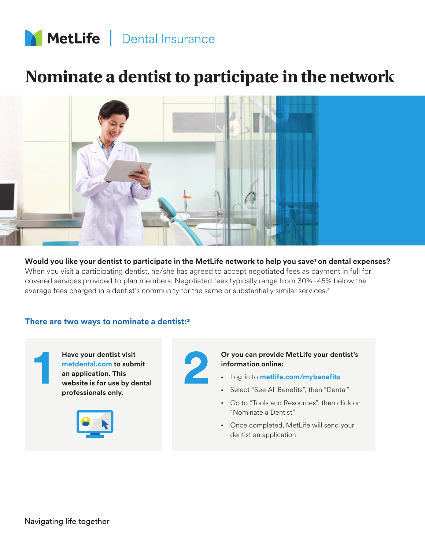

## **Nominate a dentist to participate in the network**



**Would you like your dentist to participate in the MetLife network to help you save1 on dental expenses?** When you visit a participating dentist, he/she has agreed to accept negotiated fees as payment in full for covered services provided to plan members. Negotiated fees typically range from 30%–45% below the average fees charged in a dentist's community for the same or substantially similar services.<sup>2</sup>

## **There are two ways to nominate a dentist:3**

| Have your dentist visit<br>metdental.com to submit<br>an application. This<br>website is for use by dental<br>professionals only. | Or you can provide MetLife your dentist's<br>information online: |
|-----------------------------------------------------------------------------------------------------------------------------------|------------------------------------------------------------------|
|                                                                                                                                   | • Log-in to metlife.com/mybenefits                               |
|                                                                                                                                   | • Select "See All Benefits", then "Dental"                       |
|                                                                                                                                   | Carta "Tarlaread Decenius ca" three slighters                    |





## **information online:**

- Log-in to **metlife.com/mybenefits**
- Select "See All Benefits", then "Dental"
- Go to "Tools and Resources", then click on "Nominate a Dentist"
- Once completed, MetLife will send your dentist an application